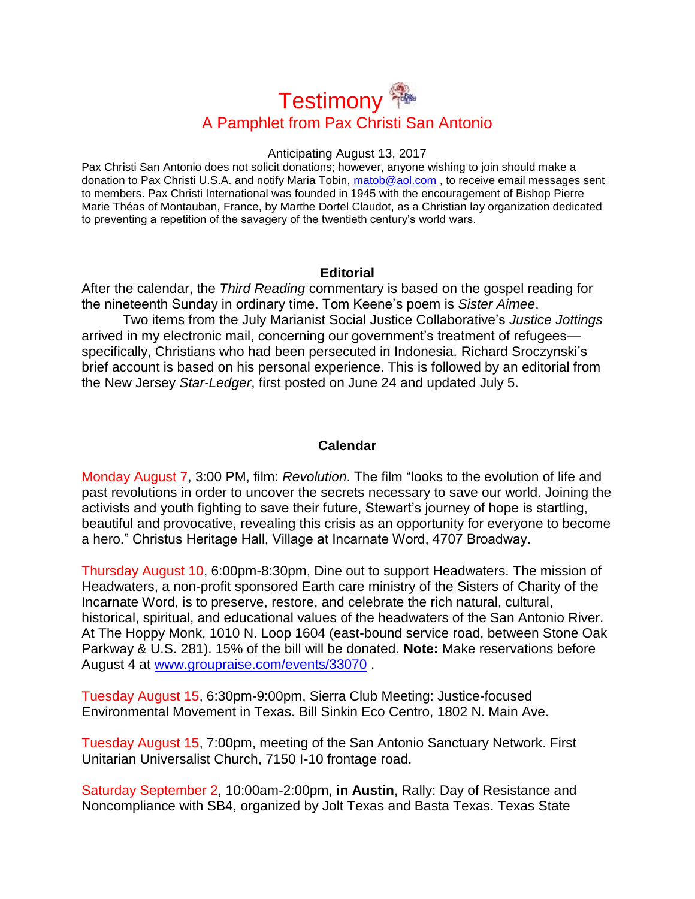# **Testimony** A Pamphlet from Pax Christi San Antonio

## Anticipating August 13, 2017

Pax Christi San Antonio does not solicit donations; however, anyone wishing to join should make a donation to Pax Christi U.S.A. and notify Maria Tobin, [matob@aol.com](mailto:matob@aol.com), to receive email messages sent to members. Pax Christi International was founded in 1945 with the encouragement of Bishop Pierre Marie Théas of Montauban, France, by Marthe Dortel Claudot, as a Christian lay organization dedicated to preventing a repetition of the savagery of the twentieth century's world wars.

## **Editorial**

After the calendar, the *Third Reading* commentary is based on the gospel reading for the nineteenth Sunday in ordinary time. Tom Keene's poem is *Sister Aimee*.

Two items from the July Marianist Social Justice Collaborative's *Justice Jottings* arrived in my electronic mail, concerning our government's treatment of refugees specifically, Christians who had been persecuted in Indonesia. Richard Sroczynski's brief account is based on his personal experience. This is followed by an editorial from the New Jersey *Star-Ledger*, first posted on June 24 and updated July 5.

# **Calendar**

Monday August 7, 3:00 PM, film: *Revolution*. The film "looks to the evolution of life and past revolutions in order to uncover the secrets necessary to save our world. Joining the activists and youth fighting to save their future, Stewart's journey of hope is startling, beautiful and provocative, revealing this crisis as an opportunity for everyone to become a hero." Christus Heritage Hall, Village at Incarnate Word, 4707 Broadway.

Thursday August 10, 6:00pm-8:30pm, Dine out to support Headwaters. The mission of Headwaters, a non-profit sponsored Earth care ministry of the Sisters of Charity of the Incarnate Word, is to preserve, restore, and celebrate the rich natural, cultural, historical, spiritual, and educational values of the headwaters of the San Antonio River. At The Hoppy Monk, 1010 N. Loop 1604 (east-bound service road, between Stone Oak Parkway & U.S. 281). 15% of the bill will be donated. **Note:** Make reservations before August 4 at [www.groupraise.com/events/33070](http://www.groupraise.com/events/33070) .

Tuesday August 15, 6:30pm-9:00pm, Sierra Club Meeting: Justice-focused Environmental Movement in Texas. Bill Sinkin Eco Centro, 1802 N. Main Ave.

Tuesday August 15, 7:00pm, meeting of the San Antonio Sanctuary Network. First Unitarian Universalist Church, 7150 I-10 frontage road.

Saturday September 2, 10:00am-2:00pm, **in Austin**, Rally: Day of Resistance and Noncompliance with SB4, organized by Jolt Texas and Basta Texas. Texas State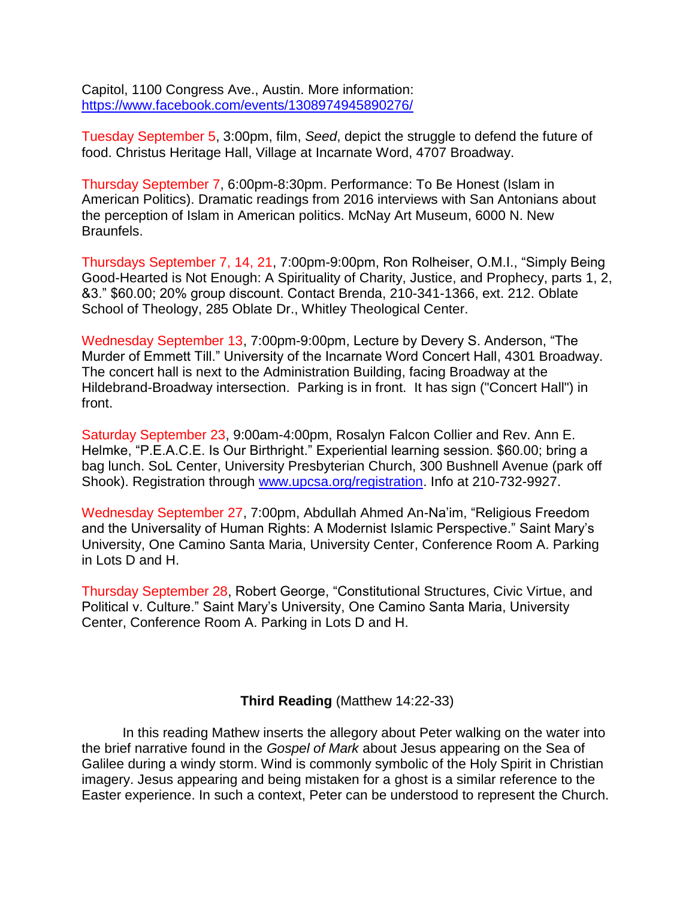Capitol, 1100 Congress Ave., Austin. More information: <https://www.facebook.com/events/1308974945890276/>

Tuesday September 5, 3:00pm, film, *Seed*, depict the struggle to defend the future of food. Christus Heritage Hall, Village at Incarnate Word, 4707 Broadway.

Thursday September 7, 6:00pm-8:30pm. Performance: To Be Honest (Islam in American Politics). Dramatic readings from 2016 interviews with San Antonians about the perception of Islam in American politics. McNay Art Museum, 6000 N. New Braunfels.

Thursdays September 7, 14, 21, 7:00pm-9:00pm, Ron Rolheiser, O.M.I., "Simply Being Good-Hearted is Not Enough: A Spirituality of Charity, Justice, and Prophecy, parts 1, 2, &3." \$60.00; 20% group discount. Contact Brenda, 210-341-1366, ext. 212. Oblate School of Theology, 285 Oblate Dr., Whitley Theological Center.

Wednesday September 13, 7:00pm-9:00pm, Lecture by Devery S. Anderson, "The Murder of Emmett Till." University of the Incarnate Word Concert Hall, 4301 Broadway. The concert hall is next to the Administration Building, facing Broadway at the Hildebrand-Broadway intersection. Parking is in front. It has sign ("Concert Hall") in front.

Saturday September 23, 9:00am-4:00pm, Rosalyn Falcon Collier and Rev. Ann E. Helmke, "P.E.A.C.E. Is Our Birthright." Experiential learning session. \$60.00; bring a bag lunch. SoL Center, University Presbyterian Church, 300 Bushnell Avenue (park off Shook). Registration through [www.upcsa.org/registration.](http://www.upcsa.org/registration) Info at 210-732-9927.

Wednesday September 27, 7:00pm, Abdullah Ahmed An-Na'im, "Religious Freedom and the Universality of Human Rights: A Modernist Islamic Perspective." Saint Mary's University, One Camino Santa Maria, University Center, Conference Room A. Parking in Lots D and H.

Thursday September 28, Robert George, "Constitutional Structures, Civic Virtue, and Political v. Culture." Saint Mary's University, One Camino Santa Maria, University Center, Conference Room A. Parking in Lots D and H.

**Third Reading** (Matthew 14:22-33)

In this reading Mathew inserts the allegory about Peter walking on the water into the brief narrative found in the *Gospel of Mark* about Jesus appearing on the Sea of Galilee during a windy storm. Wind is commonly symbolic of the Holy Spirit in Christian imagery. Jesus appearing and being mistaken for a ghost is a similar reference to the Easter experience. In such a context, Peter can be understood to represent the Church.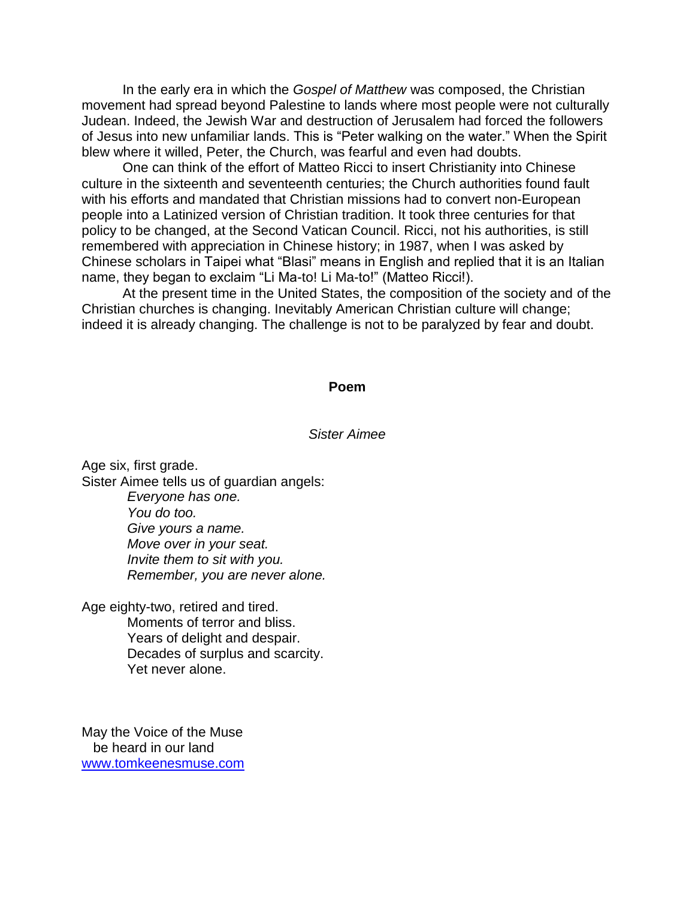In the early era in which the *Gospel of Matthew* was composed, the Christian movement had spread beyond Palestine to lands where most people were not culturally Judean. Indeed, the Jewish War and destruction of Jerusalem had forced the followers of Jesus into new unfamiliar lands. This is "Peter walking on the water." When the Spirit blew where it willed, Peter, the Church, was fearful and even had doubts.

One can think of the effort of Matteo Ricci to insert Christianity into Chinese culture in the sixteenth and seventeenth centuries; the Church authorities found fault with his efforts and mandated that Christian missions had to convert non-European people into a Latinized version of Christian tradition. It took three centuries for that policy to be changed, at the Second Vatican Council. Ricci, not his authorities, is still remembered with appreciation in Chinese history; in 1987, when I was asked by Chinese scholars in Taipei what "Blasi" means in English and replied that it is an Italian name, they began to exclaim "Li Ma-to! Li Ma-to!" (Matteo Ricci!).

At the present time in the United States, the composition of the society and of the Christian churches is changing. Inevitably American Christian culture will change; indeed it is already changing. The challenge is not to be paralyzed by fear and doubt.

#### **Poem**

#### *Sister Aimee*

Age six, first grade. Sister Aimee tells us of guardian angels: *Everyone has one. You do too. Give yours a name. Move over in your seat. Invite them to sit with you. Remember, you are never alone.*

Age eighty-two, retired and tired. Moments of terror and bliss. Years of delight and despair. Decades of surplus and scarcity. Yet never alone.

May the Voice of the Muse be heard in our land [www.tomkeenesmuse.com](http://www.tomkeenesmuse.com/)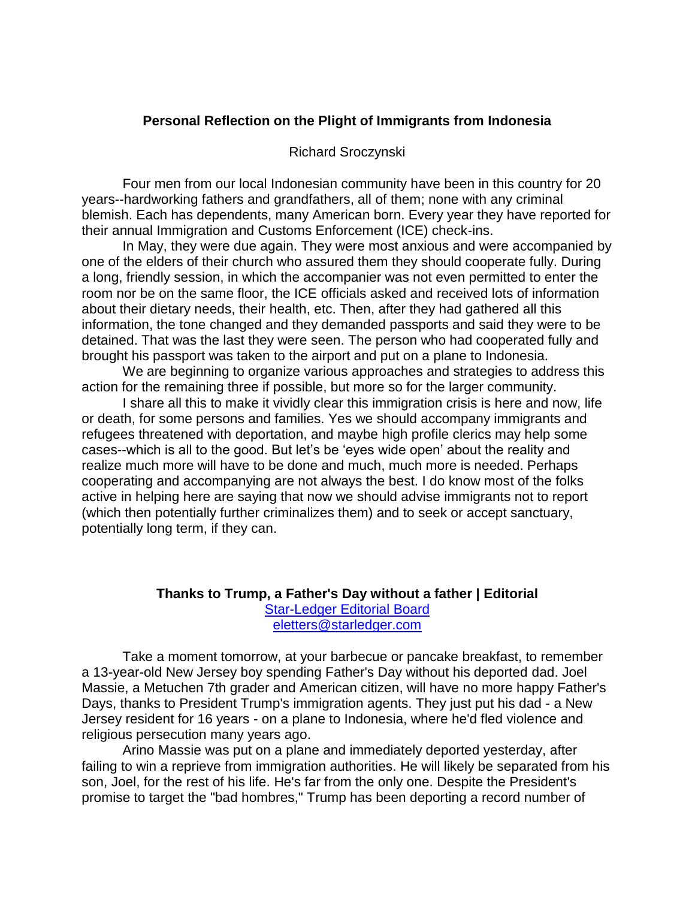# **Personal Reflection on the Plight of Immigrants from Indonesia**

### Richard Sroczynski

Four men from our local Indonesian community have been in this country for 20 years--hardworking fathers and grandfathers, all of them; none with any criminal blemish. Each has dependents, many American born. Every year they have reported for their annual Immigration and Customs Enforcement (ICE) check-ins.

In May, they were due again. They were most anxious and were accompanied by one of the elders of their church who assured them they should cooperate fully. During a long, friendly session, in which the accompanier was not even permitted to enter the room nor be on the same floor, the ICE officials asked and received lots of information about their dietary needs, their health, etc. Then, after they had gathered all this information, the tone changed and they demanded passports and said they were to be detained. That was the last they were seen. The person who had cooperated fully and brought his passport was taken to the airport and put on a plane to Indonesia.

We are beginning to organize various approaches and strategies to address this action for the remaining three if possible, but more so for the larger community.

I share all this to make it vividly clear this immigration crisis is here and now, life or death, for some persons and families. Yes we should accompany immigrants and refugees threatened with deportation, and maybe high profile clerics may help some cases--which is all to the good. But let's be 'eyes wide open' about the reality and realize much more will have to be done and much, much more is needed. Perhaps cooperating and accompanying are not always the best. I do know most of the folks active in helping here are saying that now we should advise immigrants not to report (which then potentially further criminalizes them) and to seek or accept sanctuary, potentially long term, if they can.

## **Thanks to Trump, a Father's Day without a father | Editorial** [Star-Ledger Editorial Board](http://connect.nj.com/staff/njosledit/posts.html) [eletters@starledger.com](mailto:eletters@starledger.com)

Take a moment tomorrow, at your barbecue or pancake breakfast, to remember a 13-year-old New Jersey boy spending Father's Day without his deported dad. Joel Massie, a Metuchen 7th grader and American citizen, will have no more happy Father's Days, thanks to President Trump's immigration agents. They just put his dad - a New Jersey resident for 16 years - on a plane to Indonesia, where he'd fled violence and religious persecution many years ago.

Arino Massie was put on a plane and immediately deported yesterday, after failing to win a reprieve from immigration authorities. He will likely be separated from his son, Joel, for the rest of his life. He's far from the only one. Despite the President's promise to target the "bad hombres," Trump has been deporting a record number of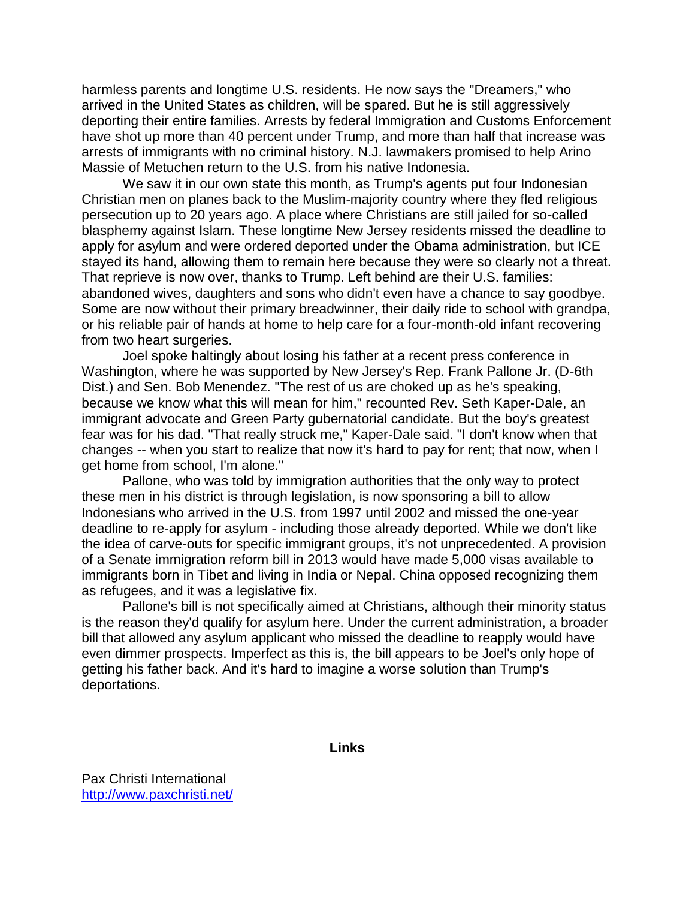harmless parents and longtime U.S. residents. He now says the "Dreamers," who arrived in the United States as children, will be spared. But he is still aggressively deporting their entire families. Arrests by federal Immigration and Customs Enforcement have shot up more than 40 percent under Trump, and more than half that increase was arrests of immigrants with no criminal history. N.J. lawmakers promised to help Arino Massie of Metuchen return to the U.S. from his native Indonesia.

We saw it in our own state this month, as Trump's agents put four Indonesian Christian men on planes back to the Muslim-majority country where they fled religious persecution up to 20 years ago. A place where Christians are still jailed for so-called blasphemy against Islam. These longtime New Jersey residents missed the deadline to apply for asylum and were ordered deported under the Obama administration, but ICE stayed its hand, allowing them to remain here because they were so clearly not a threat. That reprieve is now over, thanks to Trump. Left behind are their U.S. families: abandoned wives, daughters and sons who didn't even have a chance to say goodbye. Some are now without their primary breadwinner, their daily ride to school with grandpa, or his reliable pair of hands at home to help care for a four-month-old infant recovering from two heart surgeries.

Joel spoke haltingly about losing his father at a recent press conference in Washington, where he was supported by New Jersey's Rep. Frank Pallone Jr. (D-6th Dist.) and Sen. Bob Menendez. "The rest of us are choked up as he's speaking, because we know what this will mean for him," recounted Rev. Seth Kaper-Dale, an immigrant advocate and Green Party gubernatorial candidate. But the boy's greatest fear was for his dad. "That really struck me," Kaper-Dale said. "I don't know when that changes -- when you start to realize that now it's hard to pay for rent; that now, when I get home from school, I'm alone."

Pallone, who was told by immigration authorities that the only way to protect these men in his district is through legislation, is now sponsoring a bill to allow Indonesians who arrived in the U.S. from 1997 until 2002 and missed the one-year deadline to re-apply for asylum - including those already deported. While we don't like the idea of carve-outs for specific immigrant groups, it's not unprecedented. A provision of a Senate immigration reform bill in 2013 would have made 5,000 visas available to immigrants born in Tibet and living in India or Nepal. China opposed recognizing them as refugees, and it was a legislative fix.

Pallone's bill is not specifically aimed at Christians, although their minority status is the reason they'd qualify for asylum here. Under the current administration, a broader bill that allowed any asylum applicant who missed the deadline to reapply would have even dimmer prospects. Imperfect as this is, the bill appears to be Joel's only hope of getting his father back. And it's hard to imagine a worse solution than Trump's deportations.

**Links**

Pax Christi International <http://www.paxchristi.net/>